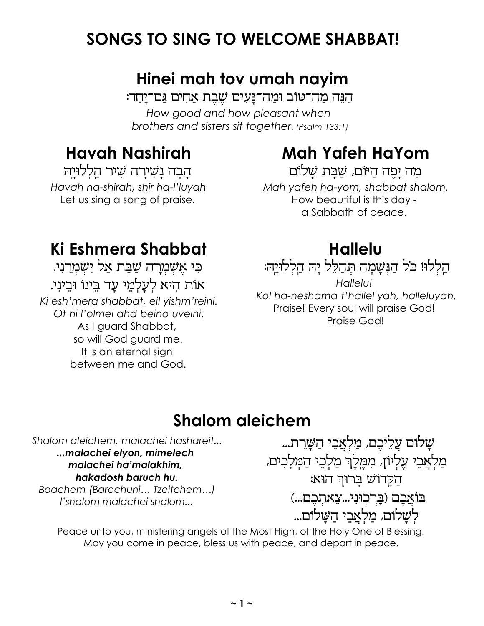# **SONGS TO SING TO WELCOME SHABBAT!**

# **Hinei mah tov umah nayim**

הנֵה מַה־טוֹב וּמַה־נַעִים שֵׁבֵת אַחִים גַּם־יָחַד: *How good and how pleasant when brothers and sisters sit together. (Psalm 133:1)*

# **Havah Nashirah**

הַבָה נַשִׁירַה שִׁיר הַלְלוּיַה *Havah na-shirah, shir ha-l'luyah* Let us sing a song of praise.

# **Mah Yafeh HaYom**

מַה יַפֵה הַיּוֹם*, שַבָּת שָ*לוֹם *Mah yafeh ha-yom, shabbat shalom.* How beautiful is this day a Sabbath of peace.

# **Ki Eshmera Shabbat**

כי אַשָׁמְרַה שַׁבַּת אֵל יִשְׁמְרֵנִי. אות היא לְעַלְמֵי עַד בֵּינוֹ וּבֵינִי. *Ki esh'mera shabbat, eil yishm'reini. Ot hi l'olmei ahd beino uveini.* As I guard Shabbat, so will God guard me. It is an eternal sign between me and God.

# **Hallelu**

הַלְלוּ! כֹּל הַנְּשָׁמָה תְּהַלֵּל יָה הַלְלוּיָה:

*Hallelu! Kol ha-neshama t'hallel yah, halleluyah.* Praise! Every soul will praise God! Praise God!

# **Shalom aleichem**

*Shalom aleichem, malachei hashareit... ...malachei elyon, mimelech malachei ha'malakhim, hakadosh baruch hu. Boachem (Barechuni… Tzeitchem…) l'shalom malachei shalom...*

שלום עַלִיכִם, מַלְאֲבֶי הַשֲרֵת... מַלְאַבִי עֵלְיוֹן, מִמֵּלֵךְ מַלְבֵי הַמִּלָכִים*,* הַקַרוֹש בַרוּך הוּא: בּוֹאֲכֶם (בָּרְכְוּנִי...צֵאתְכֶם...) לְשַׁלוֹם*, מַלְאֲבֵי הַשַּׁ*לוֹם...

Peace unto you, ministering angels of the Most High, of the Holy One of Blessing. May you come in peace, bless us with peace, and depart in peace.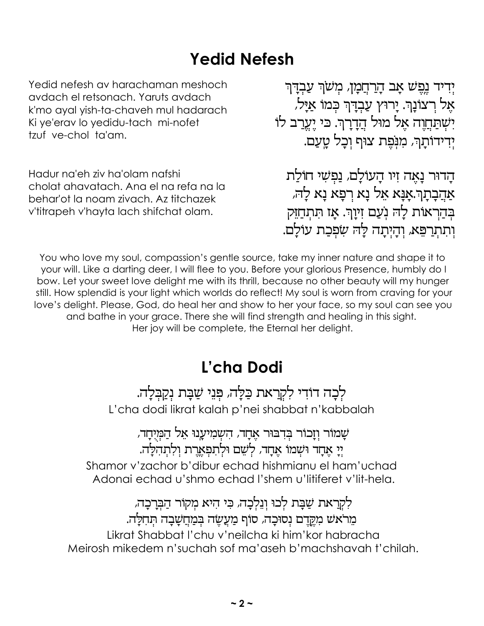# **Yedid Nefesh**

Yedid nefesh av harachaman meshoch avdach el retsonach. Yaruts avdach k'mo ayal yish-ta-chaveh mul hadarach Ki ye'erav lo yedidu-tach mi-nofet tzuf ve-chol ta'am.

Hadur na'eh ziv ha'olam nafshi cholat ahavatach. Ana el na refa na la behar'ot la noam zivach. Az titchazek v'titrapeh v'hayta lach shifchat olam.

ידיד נפש אב הרחמו, משר עבדר אַל רִצוֹנָךְ. יָרוּץ עַבְדָּךְ כִּמוֹ אַיָּל, יִשְׁתַּחֲוָה אֵל מוּל הַדָרָךְ. כּי יֵעֲרַב לוֹ יִדִידוֹתַךְ, מִנְפֶת צוּף וְכָל טֵעַם.

הָדוּר נָאֲה זִיו הָעוֹלָם, נַפְשִׁי חוֹלַת אַהֲבָתַךְ אַנַּא אָל נַא רִפַּא נַא לַה, בִּהַרְאוֹת לַה נִעֲם זִיוַרְ. אַז תִּתְחַזֵּק וְתִתְרַפֵּא, וְהָיִתָה לָה שִׂפִּכַת עוֹלָם.

You who love my soul, compassion's gentle source, take my inner nature and shape it to your will. Like a darting deer, I will flee to you. Before your glorious Presence, humbly do I bow. Let your sweet love delight me with its thrill, because no other beauty will my hunger still. How splendid is your light which worlds do reflect! My soul is worn from craving for your love's delight. Please, God, do heal her and show to her your face, so my soul can see you and bathe in your grace. There she will find strength and healing in this sight. Her joy will be complete, the Eternal her delight.

# L'cha Dodi

לִכָה דוֹדִי לִקְרַאת כַּלָּה, פִּנֵי שַׁבָּת נִקַבְלָה. L'cha dodi likrat kalah p'nei shabbat n'kabbalah

שַמוֹר וְזַכוֹר בְּדְבּוּר אָחַד, הִשְמִיעֲנוּ אֵל הַמְיִחַד, יִיַ אֲחָד וּשָׁמוֹ אֲחָד, לְשָׁם וּלְתִפְאֲרֶת וְלְתִהְלָּה. Shamor v'zachor b'dibur echad hishmianu el ham'uchad Adonai echad u'shmo echad l'shem u'litiferet v'lit-hela.

לִקְרַאת שַׁבָּת לִכוּ וִנֵלְכָה, כִּי הִיא מִקוֹר הַבִּרָכָה, מֵרֹאשׁ מִקֱדֵם נִסוּכָה, סוֹף מַעֲשֵׂה בִּמַחֲשַׁבַה תִּחִלַּה. Likrat Shabbat I'chu v'neilcha ki him'kor habracha Meirosh mikedem n'suchah sof ma'aseh b'machshavah t'chilah.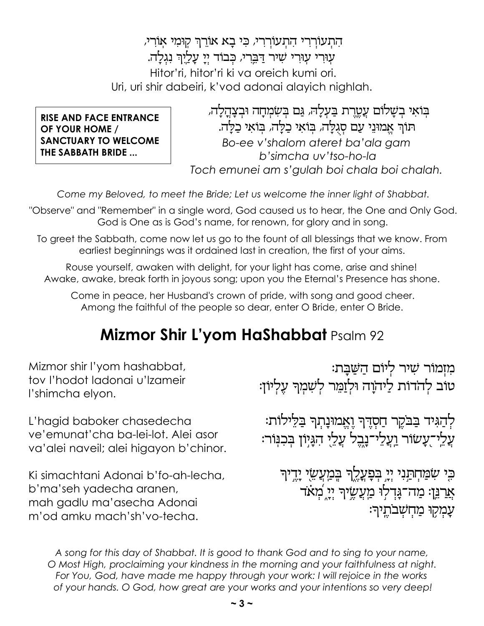הִתְעוֹרְרִי הִתְעוֹרְרִי*,* כִּי בָא אוֹרֵךְ קִוּמִי אָוֹרִי, עִוּרִי עְוּרִי שִׁיר דַּבֵּרִי*, בִּבוֹד יִיָ עָלַי*ָן נִגְלָה. Hitor'ri, hitor'ri ki va oreich kumi ori. Uri, uri shir dabeiri, k'vod adonai alayich nighlah.

**RISE AND FACE ENTRANCE OF YOUR HOME / SANCTUARY TO WELCOME THE SABBATH BRIDE ...** 

בִּוֹאִי בְשָׁלוֹם עֲטֱרֶת בַּעְלָה, גַּם בְּשִׂמְחָה וּבְצָהֱלָה, תּוֹךְ אֵמוּנֵי עַם סְגִלָּה, בְּוֹאִי כַלָּה, בְּוֹאִי כַלָּה. *Bo-ee v'shalom ateret ba'ala gam b'simcha uv'tso-ho-la Toch emunei am s'gulah boi chala boi chalah.* 

*Come my Beloved, to meet the Bride; Let us welcome the inner light of Shabbat.*

"Observe" and "Remember" in a single word, God caused us to hear, the One and Only God. God is One as is God's name, for renown, for glory and in song.

To greet the Sabbath, come now let us go to the fount of all blessings that we know. From earliest beginnings was it ordained last in creation, the first of your aims.

Rouse yourself, awaken with delight, for your light has come, arise and shine! Awake, awake, break forth in joyous song; upon you the Eternal's Presence has shone.

Come in peace, her Husband's crown of pride, with song and good cheer. Among the faithful of the people so dear, enter O Bride, enter O Bride.

# **Mizmor Shir L'yom HaShabbat** Psalm 92

Mizmor shir l'yom hashabbat, tov l'hodot ladonai u'lzameir l'shimcha elyon.

L'hagid baboker chasedecha ve'emunat'cha ba-lei-lot. Alei asor va'alei naveil; alei higayon b'chinor.

Ki simachtani Adonai b'fo-ah-lecha, b'ma'seh yadecha aranen, mah gadlu ma'asecha Adonai m'od amku mach'sh'vo-techa.

מִזְמוֹר שִׁיר לְיוֹם הַשַּׁבַּת: טוב להדות ליהוה ול<u>זמ</u>ר לשמר עליון:

לִהַגִּיד בַּבֹקֵר חַסְדֶּךְ וָאֱמוּנַתְךָ בַלֵּילוֹת: עֵלֵי־עֲשׂוֹר וַעֲלֵי־נָבֵל עֲלֵי הִגַּיִּוֹן בִּכְגּוֹר:

כ*ִּי שִׂמַּ*חְתַנִי יְיָ בְּפָעֲלֶךְ בְּמַעֲשֵׂי יָדֶיך אֲרַגֵּן: מַה־גָּדְלִוּ מַעֲשֶׂיךָ יְיָ מְאֹד עמקו מחשבתיך:

*A song for this day of Shabbat. It is good to thank God and to sing to your name, O Most High, proclaiming your kindness in the morning and your faithfulness at night. For You, God, have made me happy through your work: I will rejoice in the works of your hands. O God, how great are your works and your intentions so very deep!*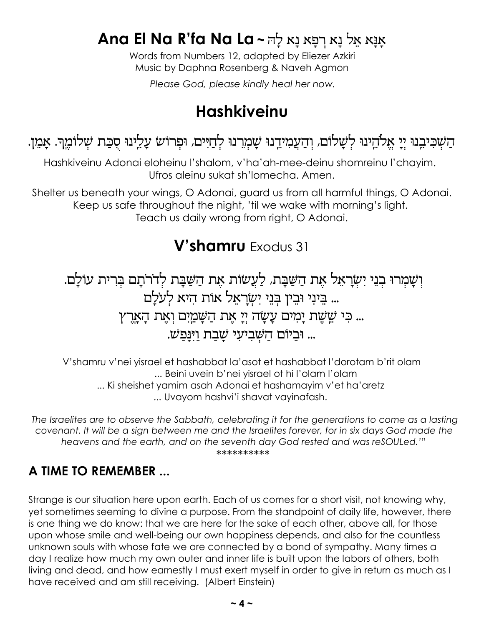# Ana El Na R'fa Na La ~ אֲנָא אֵל נָא רְפָא נָא לַה

Words from Numbers 12, adapted by Eliezer Azkiri Music by Daphna Rosenberg & Naveh Agmon

Please God, please kindly heal her now.

## **Hashkiveinu**

הַשְׁבִיבֵנוּ יִיַ אֱלֹהֵינוּ לִשַׁלוֹם, וְהַעֲמִידֵנוּ שַׁמְרֵנוּ לְחַיִּים, וּפִרוֹשׂ עַלֵינוּ סְכַת שִׁלוֹמֵךָ. אַמֵן.

Hashkiveinu Adonai eloheinu l'shalom, v'ha'ah-mee-deinu shomreinu l'chayim. Ufros aleinu sukat sh'Iomecha, Amen.

Shelter us beneath your wings, O Adonai, guard us from all harmful things, O Adonai. Keep us safe throughout the night, 'til we wake with morning's light. Teach us daily wrong from right, O Adonai.

## **V'shamru** Exodus 31

וִשָׁמְרוּ בְנֵי יִשְׂרָאֵל אֶת הַשַּׁבָּת, לַעֲשׂוֹת אֶת הַשַּׁבָּת לְדֹרתָם בְּרִית עוֹלָם. ... בִּינִי וּבִין בִּנֵי יִשְׂרָאֵל אוֹת הִיא לְעַלַם ... כִּי שֵׁשָׁת יָמִים עָשָׂה יְיָ אֶת הַשָּׁמַיִם וְאֶת הָאָרֶץ ... וּבִיוֹם הַשָּׁבִיעָי שַבַת וַיִּנַפַש.

V'shamru v'nei yisrael et hashabbat la'asot et hashabbat l'dorotam b'rit olam ... Beini uvein b'nei yisrael ot hi l'olam l'olam ... Ki sheishet yamim asah Adonai et hashamayim v'et ha'aretz ... Uvayom hashvi'i shavat vayinafash.

The Israelites are to observe the Sabbath, celebrating it for the generations to come as a lasting covenant. It will be a sign between me and the Israelites forever, for in six days God made the heavens and the earth, and on the seventh day God rested and was reSOULed."" \*\*\*\*\*\*\*\*\*\*

#### A TIME TO REMEMBER ...

Strange is our situation here upon earth. Each of us comes for a short visit, not knowing why, yet sometimes seeming to divine a purpose. From the standpoint of daily life, however, there is one thing we do know: that we are here for the sake of each other, above all, for those upon whose smile and well-being our own happiness depends, and also for the countless unknown souls with whose fate we are connected by a bond of sympathy. Many times a day I realize how much my own outer and inner life is built upon the labors of others, both living and dead, and how earnestly I must exert myself in order to give in return as much as I have received and am still receiving. (Albert Einstein)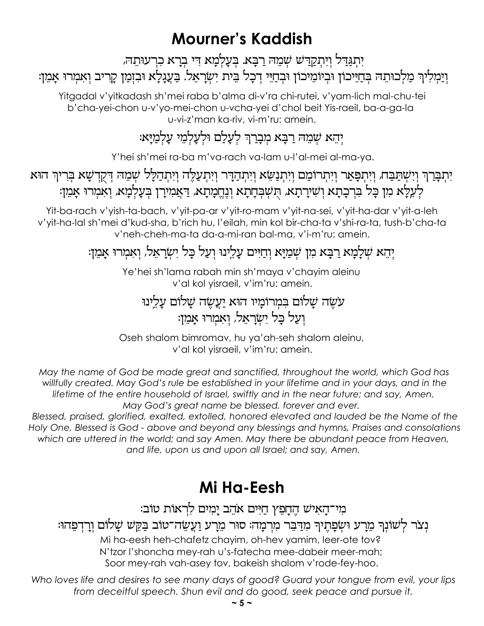# **Mourner's Kaddish**

יִתְגַּדַל וְיִתְקַדַּשׁ שִׁמֶה רַבָּא. בִּעֲלְמָא דִי בִרָא כִרְעוּתֵה, וְיַמְלִיךְ מַלְכוּתֵה בִּחַיֵּיכוֹן וּבִיוֹמֵיכוֹן וּבִחַיֵּי דְכָל בֵּית יִשְׂרָאֵל. בַּעֲגָלָא וּבִזְמַן קָרִיב וְאִמְרוּ אָמֵן:

Yitgadal v'yitkadash sh'mei raba b'alma di-v'ra chi-rutei, v'yam-lich mal-chu-tei b'cha-yei-chon u-v'yo-mei-chon u-vcha-yei d'chol beit Yis-raeil, ba-a-ga-la u-vi-z'man ka-riv, vi-m'ru: amein.

### יִהא שִׁמַה רַבַּא מִבְרַךְ לִעֲלַם וּלְעָלְמֵי עָלְמַיָּא:

Y'hei sh'mei ra-ba m'va-rach va-lam u-l'al-mei al-ma-ya.

יִתְבָּרַךְ וְיִשְׁתַּבַּח, וְיִתְפָּאַר וְיִתְרוֹמַם וְיִתְנַשֵּׂא וְיִתְהַדָּר וְיִתְעַלֶּה וְיִתְהַלָּל שְׁמֵה דְּקֻדְשָׁא בְּרִיךְ הוּא לְעֵלָּא מִן כָּל בְּרִכָּתָא וְשִׁירָתָא, תִּשְׁבִּחָתָא וְנֵחֱמָתָא, דַּאֲמִירָן בִּעָלְמָא, וְאִמְרוּ אָמֵן

Yit-ba-rach v'yish-ta-bach, v'yit-pa-ar v'yit-ro-mam v'yit-na-sei, v'yit-ha-dar v'yit-a-leh v'yit-ha-lal sh'mei d'kud-sha, b'rich hu, l'eilah, min kol bir-cha-ta v'shi-ra-ta, tush-b'cha-ta v'neh-cheh-ma-ta da-a-mi-ran bal-ma, v'i-m'ru: amein.

### יְהֵא שְׁלָמָא רַבָּא מִן שְׁמַיָּא וְחַיִּים עָלִינוּ וִעַל כָּל יִשְׂרָאֵל, וִאִמְרוּ אַמֵן:

Ye'hei sh'lama rabah min sh'maya v'chayim aleinu v'al kol visraeil, v'im'ru: amein.

### עשה שלום במרומיו הוא יעשה שלום עלינו וְעַל כָל יְשָׂרָאֵל, וְאָמְרוּ אַמֵן:

Oseh shalom bimromav, hu ya'ah-seh shalom aleinu, v'al kol yisraeil, v'im'ru: amein.

May the name of God be made great and sanctified, throughout the world, which God has willfully created. May God's rule be established in your lifetime and in your days, and in the lifetime of the entire household of Israel, swiftly and in the near future; and say, Amen. May God's great name be blessed, forever and ever.

Blessed, praised, glorified, exalted, extolled, honored elevated and lauded be the Name of the Holy One, Blessed is God - above and beyond any blessings and hymns, Praises and consolations which are uttered in the world; and say Amen. May there be abundant peace from Heaven, and life, upon us and upon all Israel; and say, Amen.

# Mi Ha-Eesh

מי־הָאִישׁ הֵחָפֵץ חַיִּים אֹהֵב יָמִים לִרְאוֹת טוֹב:

נִצֹר לְשׁוֹנְךָ מֵרַע וּשִׂפָּתֵיךְ מִדַּבֵּר מִרְמַה: סוּר מֵרַע וַעֲשֶׂה־טוֹב בַּקֵּשׁ שָׁלוֹם וַרַדְפֵהוּ: Mi ha-eesh heh-chafetz chayim, oh-hev yamim, leer-ote tov? N'tzor l'shoncha mey-rah u's-fatecha mee-dabeir meer-mah; Soor mey-rah vah-asey tov, bakeish shalom v'rode-fey-hoo.

Who loves life and desires to see many days of good? Guard your tongue from evil, your lips from deceitful speech. Shun evil and do good, seek peace and pursue it.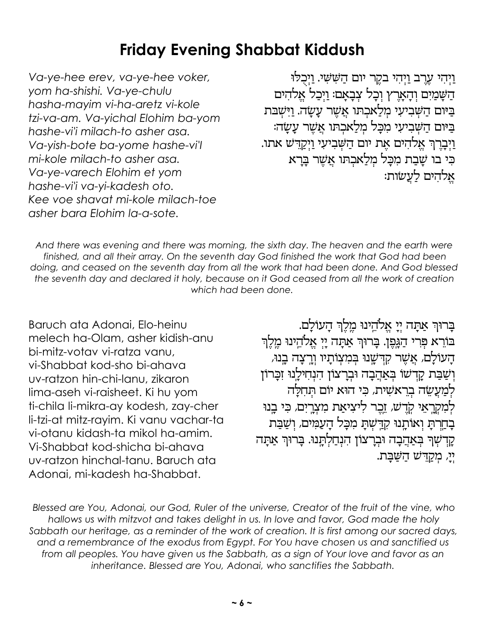# **Friday Evening Shabbat Kiddush**

*Va-ye-hee erev, va-ye-hee voker, yom ha-shishi. Va-ye-chulu hasha-mayim vi-ha-aretz vi-kole tzi-va-am. Va-yichal Elohim ba-yom hashe-vi'i milach-to asher asa. Va-yish-bote ba-yome hashe-vi'I mi-kole milach-to asher asa. Va-ye-varech Elohim et yom hashe-vi'i va-yi-kadesh oto. Kee voe shavat mi-kole milach-toe asher bara Elohim la-a-sote.*

וַיִּהִי עֵרֵב וַיִּהִי בקֵר יום הַשָּׁשִׁי. וַיִּכְלוּ הַשָּׁמַיִם וְהָאָרֵץ וִכָל צִבְאָם: וַיִּכַל אֵלהִים בִּיּום הַשְּׁבִיעִי מִלַאכְתוּ אֲשֶׁר עָשָׂה. וַיִּשְׁבּת בִּיּום הַשְּׁבִיעִי מִכָּל מְלַאכְתּו אֲשֶׁר עָשָׂה: <u>ויִברוּ</u> אַלהים אַת יום הַשָּׁבִיעִי וַיִּקַדִּשׁ אתו. כִּי בו שַׁבַת מִכָּל מִלַאכִתּו אֲשֵׁר בָּרָא אֵלהִים לַעֲשׂות:

*And there was evening and there was morning, the sixth day. The heaven and the earth were finished, and all their array. On the seventh day God finished the work that God had been doing, and ceased on the seventh day from all the work that had been done. And God blessed the seventh day and declared it holy, because on it God ceased from all the work of creation which had been done.*

Baruch ata Adonai, Elo-heinu melech ha-Olam, asher kidish-anu bi-mitz-votav vi-ratza vanu, vi-Shabbat kod-sho bi-ahava uv-ratzon hin-chi-lanu, zikaron lima-aseh vi-raisheet. Ki hu yom ti-chila li-mikra-ay kodesh, zay-cher li-tzi-at mitz-rayim. Ki vanu vachar-ta vi-otanu kidash-ta mikol ha-amim. Vi-Shabbat kod-shicha bi-ahava uv-ratzon hinchal-tanu. Baruch ata Adonai, mi-kadesh ha-Shabbat.

בְרוּךְ אַתָה יְיָ אֱלֹהֵינוּ מֵלֵךְ הַעוֹלַם. בּוֹרֵא פְּרִי דַגְּפֶן. בָּרוּךְ אַתָה יָיְ אֱלֹהֵינוּ מֵלֵךְ הַעוֹלָם, אֲשֶׁר קִדְּשָׁנוּ בְּמִצְוֹתָיו וְרֵצָה בָנוּ, וְשַׁבַּת קַדְשׁוֹ בִּאַהֲבָה וּבְרַצוֹן הִנְחִילֵנוּ זְכָרוֹן למעשה בראשית, כי הוא יום תחלה לְמִקְרָאֵי קְדֵשׁ, זֶכֱר לִיצִיאַת מִצְרֵיִם, כִּי בָנוּ בַחֵרתַ וְאוֹתֵנוּ קְדֵשְׁתַּ מִכַּל הַעֲמִים, וְשַׁבַּת קִדִשְׁךָ בְּאַהֲבָה וּבְרָצוֹן הִנְחַלְתָֽנוּ. בָּרוּךְ אַתָּה יֵי, מִקְדֵּשׁ הַשֲׁבַּת.

*Blessed are You, Adonai, our God, Ruler of the universe, Creator of the fruit of the vine, who hallows us with mitzvot and takes delight in us. In love and favor, God made the holy Sabbath our heritage, as a reminder of the work of creation. It is first among our sacred days, and a remembrance of the exodus from Egypt. For You have chosen us and sanctified us from all peoples. You have given us the Sabbath, as a sign of Your love and favor as an inheritance. Blessed are You, Adonai, who sanctifies the Sabbath.*